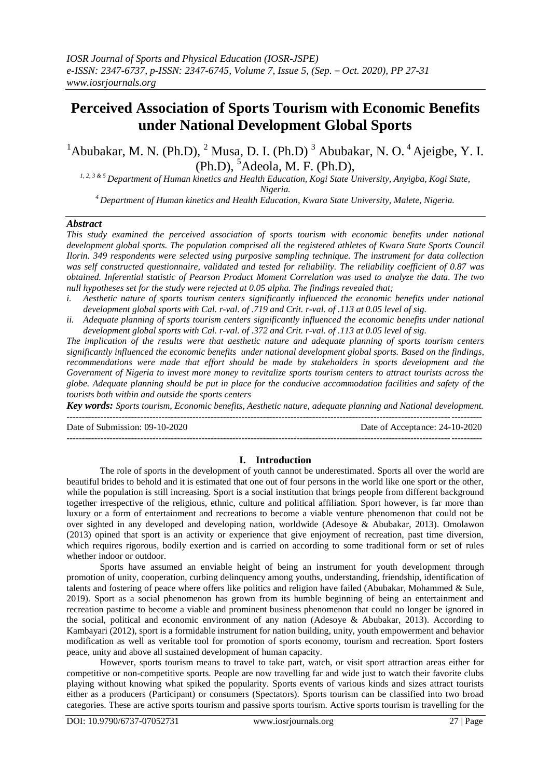## **Perceived Association of Sports Tourism with Economic Benefits under National Development Global Sports**

 $1A$ bubakar, M. N. (Ph.D),  $2$  Musa, D. I. (Ph.D)  $3$  Abubakar, N. O.  $4A$ jeigbe, Y. I.  $(Ph.D),$ <sup>5</sup>Adeola, M. F. (Ph.D),

*1, 2, 3 & 5 Department of Human kinetics and Health Education, Kogi State University, Anyigba, Kogi State, Nigeria.*

*<sup>4</sup>Department of Human kinetics and Health Education, Kwara State University, Malete, Nigeria.*

#### *Abstract*

*This study examined the perceived association of sports tourism with economic benefits under national development global sports. The population comprised all the registered athletes of Kwara State Sports Council Ilorin. 349 respondents were selected using purposive sampling technique. The instrument for data collection was self constructed questionnaire, validated and tested for reliability. The reliability coefficient of 0.87 was obtained. Inferential statistic of Pearson Product Moment Correlation was used to analyze the data. The two null hypotheses set for the study were rejected at 0.05 alpha. The findings revealed that;*

- *i. Aesthetic nature of sports tourism centers significantly influenced the economic benefits under national development global sports with Cal. r-val. of .719 and Crit. r-val. of .113 at 0.05 level of sig.*
- *ii. Adequate planning of sports tourism centers significantly influenced the economic benefits under national development global sports with Cal. r-val. of .372 and Crit. r-val. of .113 at 0.05 level of sig.*

*The implication of the results were that aesthetic nature and adequate planning of sports tourism centers significantly influenced the economic benefits under national development global sports. Based on the findings, recommendations were made that effort should be made by stakeholders in sports development and the Government of Nigeria to invest more money to revitalize sports tourism centers to attract tourists across the globe. Adequate planning should be put in place for the conducive accommodation facilities and safety of the tourists both within and outside the sports centers*

*Key words: Sports tourism, Economic benefits, Aesthetic nature, adequate planning and National development.* ---------------------------------------------------------------------------------------------------------------------------------------

Date of Submission: 09-10-2020 Date of Acceptance: 24-10-2020

# ---------------------------------------------------------------------------------------------------------------------------------------

#### **I. Introduction**

The role of sports in the development of youth cannot be underestimated. Sports all over the world are beautiful brides to behold and it is estimated that one out of four persons in the world like one sport or the other, while the population is still increasing. Sport is a social institution that brings people from different background together irrespective of the religious, ethnic, culture and political affiliation. Sport however, is far more than luxury or a form of entertainment and recreations to become a viable venture phenomenon that could not be over sighted in any developed and developing nation, worldwide (Adesoye & Abubakar, 2013). Omolawon (2013) opined that sport is an activity or experience that give enjoyment of recreation, past time diversion, which requires rigorous, bodily exertion and is carried on according to some traditional form or set of rules whether indoor or outdoor.

Sports have assumed an enviable height of being an instrument for youth development through promotion of unity, cooperation, curbing delinquency among youths, understanding, friendship, identification of talents and fostering of peace where offers like politics and religion have failed (Abubakar, Mohammed & Sule, 2019). Sport as a social phenomenon has grown from its humble beginning of being an entertainment and recreation pastime to become a viable and prominent business phenomenon that could no longer be ignored in the social, political and economic environment of any nation (Adesoye & Abubakar, 2013). According to Kambayari (2012), sport is a formidable instrument for nation building, unity, youth empowerment and behavior modification as well as veritable tool for promotion of sports economy, tourism and recreation. Sport fosters peace, unity and above all sustained development of human capacity.

However, sports tourism means to travel to take part, watch, or visit sport attraction areas either for competitive or non-competitive sports. People are now travelling far and wide just to watch their favorite clubs playing without knowing what spiked the popularity. Sports events of various kinds and sizes attract tourists either as a producers (Participant) or consumers (Spectators). Sports tourism can be classified into two broad categories. These are active sports tourism and passive sports tourism. Active sports tourism is travelling for the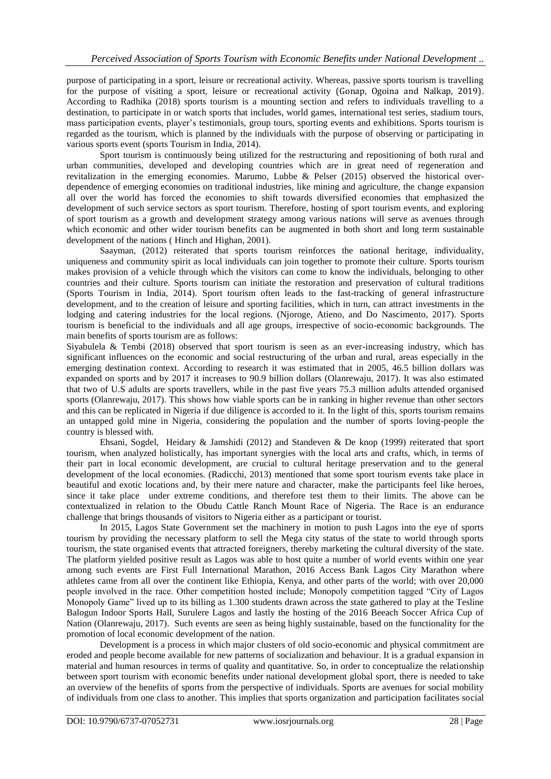purpose of participating in a sport, leisure or recreational activity. Whereas, passive sports tourism is travelling for the purpose of visiting a sport, leisure or recreational activity (Gonap, Ogoina and Nalkap, 2019). According to Radhika (2018) sports tourism is a mounting section and refers to individuals travelling to a destination, to participate in or watch sports that includes, world games, international test series, stadium tours, mass participation events, player's testimonials, group tours, sporting events and exhibitions. Sports tourism is regarded as the tourism, which is planned by the individuals with the purpose of observing or participating in various sports event (sports Tourism in India, 2014).

Sport tourism is continuously being utilized for the restructuring and repositioning of both rural and urban communities, developed and developing countries which are in great need of regeneration and revitalization in the emerging economies. Marumo, Lubbe & Pelser (2015) observed the historical overdependence of emerging economies on traditional industries, like mining and agriculture, the change expansion all over the world has forced the economies to shift towards diversified economies that emphasized the development of such service sectors as sport tourism. Therefore, hosting of sport tourism events, and exploring of sport tourism as a growth and development strategy among various nations will serve as avenues through which economic and other wider tourism benefits can be augmented in both short and long term sustainable development of the nations ( Hinch and Highan, 2001).

Saayman, (2012) reiterated that sports tourism reinforces the national heritage, individuality, uniqueness and community spirit as local individuals can join together to promote their culture. Sports tourism makes provision of a vehicle through which the visitors can come to know the individuals, belonging to other countries and their culture. Sports tourism can initiate the restoration and preservation of cultural traditions (Sports Tourism in India, 2014). Sport tourism often leads to the fast-tracking of general infrastructure development, and to the creation of leisure and sporting facilities, which in turn, can attract investments in the lodging and catering industries for the local regions. (Njoroge, Atieno, and Do Nascimento, 2017). Sports tourism is beneficial to the individuals and all age groups, irrespective of socio-economic backgrounds. The main benefits of sports tourism are as follows:

Siyabulela & Tembi (2018) observed that sport tourism is seen as an ever-increasing industry, which has significant influences on the economic and social restructuring of the urban and rural, areas especially in the emerging destination context. According to research it was estimated that in 2005, 46.5 billion dollars was expanded on sports and by 2017 it increases to 90.9 billion dollars (Olanrewaju, 2017). It was also estimated that two of U.S adults are sports travellers, while in the past five years 75.3 million adults attended organised sports (Olanrewaju, 2017). This shows how viable sports can be in ranking in higher revenue than other sectors and this can be replicated in Nigeria if due diligence is accorded to it. In the light of this, sports tourism remains an untapped gold mine in Nigeria, considering the population and the number of sports loving-people the country is blessed with.

Ehsani, Sogdel, Heidary & Jamshidi (2012) and Standeven & De knop (1999) reiterated that sport tourism, when analyzed holistically, has important synergies with the local arts and crafts, which, in terms of their part in local economic development, are crucial to cultural heritage preservation and to the general development of the local economies. (Radicchi, 2013) mentioned that some sport tourism events take place in beautiful and exotic locations and, by their mere nature and character, make the participants feel like heroes, since it take place under extreme conditions, and therefore test them to their limits. The above can be contextualized in relation to the Obudu Cattle Ranch Mount Race of Nigeria. The Race is an endurance challenge that brings thousands of visitors to Nigeria either as a participant or tourist.

In 2015, Lagos State Government set the machinery in motion to push Lagos into the eye of sports tourism by providing the necessary platform to sell the Mega city status of the state to world through sports tourism, the state organised events that attracted foreigners, thereby marketing the cultural diversity of the state. The platform yielded positive result as Lagos was able to host quite a number of world events within one year among such events are First Full International Marathon, 2016 Access Bank Lagos City Marathon where athletes came from all over the continent like Ethiopia, Kenya, and other parts of the world; with over 20,000 people involved in the race. Other competition hosted include; Monopoly competition tagged "City of Lagos Monopoly Game" lived up to its billing as 1.300 students drawn across the state gathered to play at the Tesline Balogun Indoor Sports Hall, Surulere Lagos and lastly the hosting of the 2016 Beeach Soccer Africa Cup of Nation (Olanrewaju, 2017). Such events are seen as being highly sustainable, based on the functionality for the promotion of local economic development of the nation.

Development is a process in which major clusters of old socio-economic and physical commitment are eroded and people become available for new patterns of socialization and behaviour. It is a gradual expansion in material and human resources in terms of quality and quantitative. So, in order to conceptualize the relationship between sport tourism with economic benefits under national development global sport, there is needed to take an overview of the benefits of sports from the perspective of individuals. Sports are avenues for social mobility of individuals from one class to another. This implies that sports organization and participation facilitates social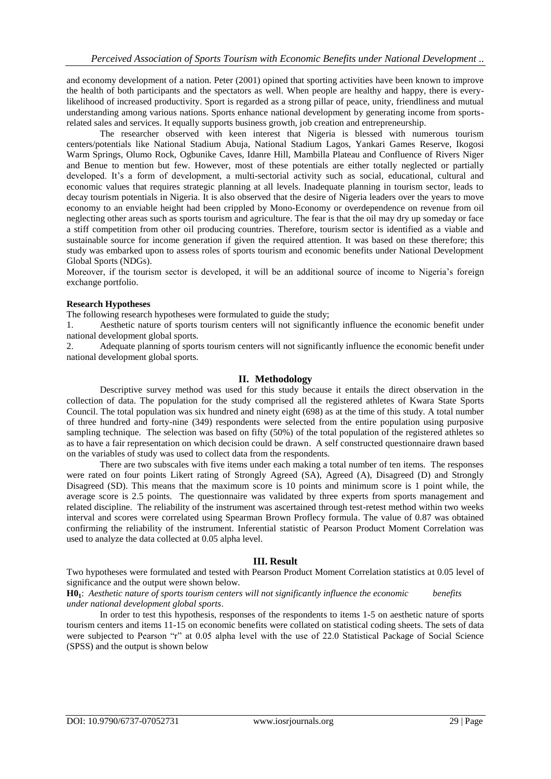and economy development of a nation. Peter (2001) opined that sporting activities have been known to improve the health of both participants and the spectators as well. When people are healthy and happy, there is everylikelihood of increased productivity. Sport is regarded as a strong pillar of peace, unity, friendliness and mutual understanding among various nations. Sports enhance national development by generating income from sportsrelated sales and services. It equally supports business growth, job creation and entrepreneurship.

The researcher observed with keen interest that Nigeria is blessed with numerous tourism centers/potentials like National Stadium Abuja, National Stadium Lagos, Yankari Games Reserve, Ikogosi Warm Springs, Olumo Rock, Ogbunike Caves, Idanre Hill, Mambilla Plateau and Confluence of Rivers Niger and Benue to mention but few. However, most of these potentials are either totally neglected or partially developed. It's a form of development, a multi-sectorial activity such as social, educational, cultural and economic values that requires strategic planning at all levels. Inadequate planning in tourism sector, leads to decay tourism potentials in Nigeria. It is also observed that the desire of Nigeria leaders over the years to move economy to an enviable height had been crippled by Mono-Economy or overdependence on revenue from oil neglecting other areas such as sports tourism and agriculture. The fear is that the oil may dry up someday or face a stiff competition from other oil producing countries. Therefore, tourism sector is identified as a viable and sustainable source for income generation if given the required attention. It was based on these therefore; this study was embarked upon to assess roles of sports tourism and economic benefits under National Development Global Sports (NDGs).

Moreover, if the tourism sector is developed, it will be an additional source of income to Nigeria's foreign exchange portfolio.

#### **Research Hypotheses**

The following research hypotheses were formulated to guide the study;

1. Aesthetic nature of sports tourism centers will not significantly influence the economic benefit under national development global sports.

2. Adequate planning of sports tourism centers will not significantly influence the economic benefit under national development global sports.

#### **II. Methodology**

Descriptive survey method was used for this study because it entails the direct observation in the collection of data. The population for the study comprised all the registered athletes of Kwara State Sports Council. The total population was six hundred and ninety eight (698) as at the time of this study. A total number of three hundred and forty-nine (349) respondents were selected from the entire population using purposive sampling technique. The selection was based on fifty (50%) of the total population of the registered athletes so as to have a fair representation on which decision could be drawn. A self constructed questionnaire drawn based on the variables of study was used to collect data from the respondents.

There are two subscales with five items under each making a total number of ten items. The responses were rated on four points Likert rating of Strongly Agreed (SA), Agreed (A), Disagreed (D) and Strongly Disagreed (SD). This means that the maximum score is 10 points and minimum score is 1 point while, the average score is 2.5 points. The questionnaire was validated by three experts from sports management and related discipline. The reliability of the instrument was ascertained through test-retest method within two weeks interval and scores were correlated using Spearman Brown Proflecy formula. The value of 0.87 was obtained confirming the reliability of the instrument. Inferential statistic of Pearson Product Moment Correlation was used to analyze the data collected at 0.05 alpha level.

#### **III. Result**

Two hypotheses were formulated and tested with Pearson Product Moment Correlation statistics at 0.05 level of significance and the output were shown below.

**H01**: *Aesthetic nature of sports tourism centers will not significantly influence the economic benefits under national development global sports*.

In order to test this hypothesis, responses of the respondents to items 1-5 on aesthetic nature of sports tourism centers and items 11-15 on economic benefits were collated on statistical coding sheets. The sets of data were subjected to Pearson "r" at 0.05 alpha level with the use of 22.0 Statistical Package of Social Science (SPSS) and the output is shown below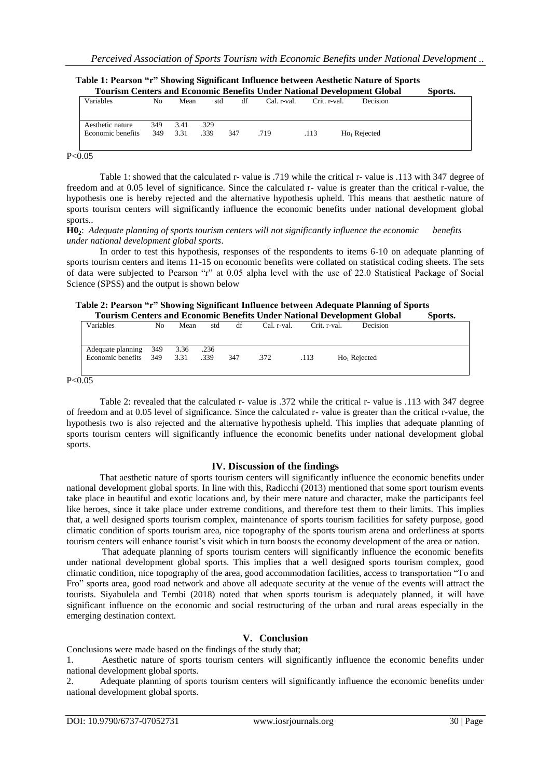| <b>Tourism Centers and Economic Benefits Under National Development Global</b> |     |      |      |     |             |              |                | Sports. |
|--------------------------------------------------------------------------------|-----|------|------|-----|-------------|--------------|----------------|---------|
| Variables                                                                      | No. | Mean | std  | df  | Cal. r-val. | Crit. r-val. | Decision       |         |
|                                                                                |     |      |      |     |             |              |                |         |
| Aesthetic nature                                                               | 349 | 3.41 | .329 |     |             |              |                |         |
| Economic benefits                                                              | 349 | 3.31 | .339 | 347 | .719        | .113         | $Ho1$ Rejected |         |
|                                                                                |     |      |      |     |             |              |                |         |

|  |  |  |                        |  | Table 1: Pearson "r" Showing Significant Influence between Aesthetic Nature of Sports |  |
|--|--|--|------------------------|--|---------------------------------------------------------------------------------------|--|
|  |  |  | $\mathbf{a}$ . TT I IT |  |                                                                                       |  |

 $P < 0.05$ 

Table 1: showed that the calculated r- value is .719 while the critical r- value is .113 with 347 degree of freedom and at 0.05 level of significance. Since the calculated r- value is greater than the critical r-value, the hypothesis one is hereby rejected and the alternative hypothesis upheld. This means that aesthetic nature of sports tourism centers will significantly influence the economic benefits under national development global sports..

**H02**: *Adequate planning of sports tourism centers will not significantly influence the economic benefits under national development global sports*.

In order to test this hypothesis, responses of the respondents to items 6-10 on adequate planning of sports tourism centers and items 11-15 on economic benefits were collated on statistical coding sheets. The sets of data were subjected to Pearson "r" at 0.05 alpha level with the use of 22.0 Statistical Package of Social Science (SPSS) and the output is shown below

| Table 2: Pearson "r" Showing Significant Influence between Adequate Planning of Sports |         |
|----------------------------------------------------------------------------------------|---------|
| <b>Tourism Centers and Economic Benefits Under National Development Global</b>         | Sports. |

| a v maavall v valvva v malm alvvalvalli v valvaliv. V limva a mitjanja se v i valv malivaliv vlavivna |    |              |              |     |             |              |                          | ------- |
|-------------------------------------------------------------------------------------------------------|----|--------------|--------------|-----|-------------|--------------|--------------------------|---------|
| Variables                                                                                             | No | Mean         | std          | df  | Cal. r-val. | Crit. r-val. | Decision                 |         |
| Adequate planning 349<br>Economic benefits 349                                                        |    | 3.36<br>3.31 | .236<br>.339 | 347 | .372        | .113         | Ho <sub>1</sub> Rejected |         |

 $P < 0.05$ 

Table 2: revealed that the calculated r- value is .372 while the critical r- value is .113 with 347 degree of freedom and at 0.05 level of significance. Since the calculated r- value is greater than the critical r-value, the hypothesis two is also rejected and the alternative hypothesis upheld. This implies that adequate planning of sports tourism centers will significantly influence the economic benefits under national development global sports.

#### **IV. Discussion of the findings**

That aesthetic nature of sports tourism centers will significantly influence the economic benefits under national development global sports. In line with this, Radicchi (2013) mentioned that some sport tourism events take place in beautiful and exotic locations and, by their mere nature and character, make the participants feel like heroes, since it take place under extreme conditions, and therefore test them to their limits. This implies that, a well designed sports tourism complex, maintenance of sports tourism facilities for safety purpose, good climatic condition of sports tourism area, nice topography of the sports tourism arena and orderliness at sports tourism centers will enhance tourist's visit which in turn boosts the economy development of the area or nation.

That adequate planning of sports tourism centers will significantly influence the economic benefits under national development global sports. This implies that a well designed sports tourism complex, good climatic condition, nice topography of the area, good accommodation facilities, access to transportation "To and Fro" sports area, good road network and above all adequate security at the venue of the events will attract the tourists. Siyabulela and Tembi (2018) noted that when sports tourism is adequately planned, it will have significant influence on the economic and social restructuring of the urban and rural areas especially in the emerging destination context.

### **V. Conclusion**

Conclusions were made based on the findings of the study that;

1. Aesthetic nature of sports tourism centers will significantly influence the economic benefits under national development global sports.

2. Adequate planning of sports tourism centers will significantly influence the economic benefits under national development global sports.